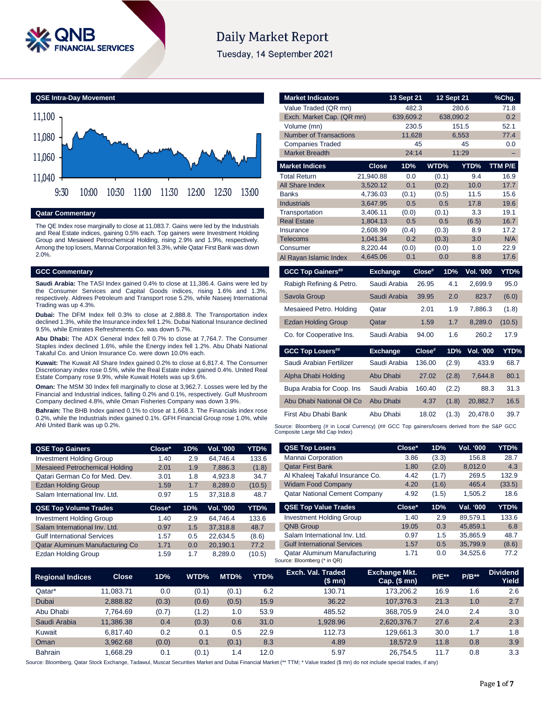

# **Daily Market Report**

Tuesday, 14 September 2021

**QSE Intra-Day Movement**



**Qatar Commentary**

The QE Index rose marginally to close at 11,083.7. Gains were led by the Industrials and Real Estate indices, gaining 0.5% each. Top gainers were Investment Holding Group and Mesaieed Petrochemical Holding, rising 2.9% and 1.9%, respectively. Among the top losers, Mannai Corporation fell 3.3%, while Qatar First Bank was down 2.0%.

### **GCC Commentary**

**Saudi Arabia:** The TASI Index gained 0.4% to close at 11,386.4. Gains were led by the Consumer Services and Capital Goods indices, rising 1.6% and 1.3%, respectively. Aldrees Petroleum and Transport rose 5.2%, while Naseej International Trading was up 4.3%.

**Dubai:** The DFM Index fell 0.3% to close at 2,888.8. The Transportation index declined 1.3%, while the Insurance index fell 1.2%. Dubai National Insurance declined 9.5%, while Emirates Refreshments Co. was down 5.7%.

**Abu Dhabi:** The ADX General Index fell 0.7% to close at 7,764.7. The Consumer Staples index declined 1.6%, while the Energy index fell 1.2%. Abu Dhabi National Takaful Co. and Union Insurance Co. were down 10.0% each.

**Kuwait:** The Kuwait All Share Index gained 0.2% to close at 6,817.4. The Consumer Discretionary index rose 0.5%, while the Real Estate index gained 0.4%. United Real Estate Company rose 9.9%, while Kuwait Hotels was up 9.6%.

**Oman:** The MSM 30 Index fell marginally to close at 3,962.7. Losses were led by the Financial and Industrial indices, falling 0.2% and 0.1%, respectively. Gulf Mushroom Company declined 4.8%, while Oman Fisheries Company was down 3.9%.

**Bahrain:** The BHB Index gained 0.1% to close at 1,668.3. The Financials index rose 0.2%, while the Industrials index gained 0.1%. GFH Financial Group rose 1.0%, while Ahli United Bank was up 0.2%.

| <b>QSE Top Gainers</b>                | Close* | 1D% | Vol. '000 | YTD%   |
|---------------------------------------|--------|-----|-----------|--------|
| <b>Investment Holding Group</b>       | 1.40   | 2.9 | 64.746.4  | 133.6  |
| <b>Mesaieed Petrochemical Holding</b> | 2.01   | 1.9 | 7.886.3   | (1.8)  |
| Qatari German Co for Med. Dev.        | 3.01   | 1.8 | 4.923.8   | 34.7   |
| <b>Ezdan Holding Group</b>            | 1.59   | 1.7 | 8.289.0   | (10.5) |
| Salam International Inv. Ltd.         | 0.97   | 1.5 | 37.318.8  | 48.7   |

| <b>QSE Top Volume Trades</b>       | Close* | 1D% | Vol. '000 | YTD%   |
|------------------------------------|--------|-----|-----------|--------|
| <b>Investment Holding Group</b>    | 1.40   | 2.9 | 64.746.4  | 133.6  |
| Salam International Inv. Ltd.      | 0.97   | 1.5 | 37.318.8  | 48.7   |
| <b>Gulf International Services</b> | 1.57   | 0.5 | 22.634.5  | (8.6)  |
| Qatar Aluminum Manufacturing Co    | 1.71   | 0.0 | 20.190.1  | 77.2   |
| <b>Ezdan Holding Group</b>         | 1.59   | 1.7 | 8.289.0   | (10.5) |

| <b>Market Indicators</b>                                                                    |                      | 13 Sept 21   |        | 12 Sept 21   |                  | %Chg.        |
|---------------------------------------------------------------------------------------------|----------------------|--------------|--------|--------------|------------------|--------------|
| Value Traded (QR mn)                                                                        |                      |              | 482.3  | 280.6        |                  | 71.8         |
| Exch. Market Cap. (QR mn)                                                                   |                      | 639,609.2    |        | 638,090.2    |                  | 0.2          |
| Volume (mn)                                                                                 |                      |              | 230.5  | 151.5        |                  | 52.1         |
| <b>Number of Transactions</b>                                                               |                      | 11,628       |        | 6,553        |                  | 77.4         |
| <b>Companies Traded</b>                                                                     |                      |              | 45     |              | 45               | 0.0          |
| <b>Market Breadth</b>                                                                       |                      |              | 24:14  | 11:29        |                  |              |
| <b>Market Indices</b>                                                                       | <b>Close</b>         | 1D%          |        | WTD%         | YTD%             | TTM P/E      |
| <b>Total Return</b>                                                                         | 21,940.88            | 0.0          |        | (0.1)        | 9.4              | 16.9         |
| <b>All Share Index</b>                                                                      | 3,520.12             | 0.1          |        | (0.2)        | 10.0             | 17.7         |
| <b>Banks</b>                                                                                | 4,736.03             | (0.1)        |        | (0.5)        | 11.5             | 15.6         |
| <b>Industrials</b>                                                                          | 3,647.95             | 0.5          |        | 0.5          | 17.8             | 19.6         |
| Transportation                                                                              | 3,406.11             | (0.0)        |        | (0.1)        | 3.3              | 19.1         |
| <b>Real Estate</b>                                                                          | 1,804.13             | 0.5          |        | 0.5          | (6.5)            | 16.7         |
| Insurance                                                                                   | 2,608.99             | (0.4)        |        | (0.3)        | 8.9              | 17.2         |
| <b>Telecoms</b>                                                                             | 1,041.34             | 0.2          |        | (0.3)        | 3.0              | N/A          |
| Consumer                                                                                    | 8,220.44<br>4,645.06 | (0.0)<br>0.1 |        | (0.0)<br>0.0 | 1.0<br>8.8       | 22.9<br>17.6 |
| Al Rayan Islamic Index                                                                      |                      |              |        |              |                  |              |
| <b>GCC Top Gainers##</b>                                                                    | <b>Exchange</b>      |              | Close# | 1D%          | <b>Vol. '000</b> | YTD%         |
| Rabigh Refining & Petro.                                                                    |                      | Saudi Arabia | 26.95  | 4.1          | 2.699.9          | 95.0         |
| Savola Group                                                                                |                      | Saudi Arabia | 39.95  | 2.0          | 823.7            | (6.0)        |
| Mesaieed Petro. Holding                                                                     | Qatar                |              | 2.01   | 1.9          | 7,886.3          | (1.8)        |
| <b>Ezdan Holding Group</b>                                                                  | Qatar                |              | 1.59   | 1.7          | 8,289.0          | (10.5)       |
| Co. for Cooperative Ins.                                                                    |                      | Saudi Arabia | 94.00  | 1.6          | 260.2            | 17.9         |
| <b>GCC Top Losers##</b>                                                                     | <b>Exchange</b>      |              | Close# | 1D%          | <b>Vol. '000</b> | YTD%         |
| Saudi Arabian Fertilizer                                                                    |                      | Saudi Arabia | 136.00 | (2.9)        | 433.9            | 68.7         |
| Alpha Dhabi Holding                                                                         | Abu Dhabi            |              | 27.02  | (2.8)        | 7,644.8          | 80.1         |
| Bupa Arabia for Coop. Ins                                                                   |                      | Saudi Arabia | 160.40 | (2.2)        | 88.3             | 31.3         |
| Abu Dhabi National Oil Co                                                                   | Abu Dhabi            |              | 4.37   | (1.8)        | 20,882.7         | 16.5         |
| First Abu Dhabi Bank                                                                        | Abu Dhabi            |              | 18.02  | (1.3)        | 20,478.0         | 39.7         |
| Source: Bloomberg (# in Local Currency) (## GCC Top gainers/losers derived from the S&P GCC |                      |              |        |              |                  |              |

Composite Large Mid Cap Index)

| <b>QSE Top Losers</b>                | Close* | 1D%   | <b>Vol. '000</b> | YTD%   |
|--------------------------------------|--------|-------|------------------|--------|
| Mannai Corporation                   | 3.86   | (3.3) | 156.8            | 28.7   |
| <b>Qatar First Bank</b>              | 1.80   | (2.0) | 8.012.0          | 4.3    |
| Al Khaleej Takaful Insurance Co.     | 4.42   | (1.7) | 269.5            | 132.9  |
| <b>Widam Food Company</b>            | 4.20   | (1.6) | 465.4            | (33.5) |
| <b>Qatar National Cement Company</b> | 4.92   | (1.5) | 1.505.2          | 18.6   |
|                                      |        |       |                  |        |
| <b>QSE Top Value Trades</b>          | Close* | 1D%   | Val. '000        | YTD%   |
| <b>Investment Holding Group</b>      | 1.40   | 2.9   | 89.579.1         | 133.6  |
| <b>QNB Group</b>                     | 19.05  | 0.3   | 45.859.1         | 6.8    |
| Salam International Inv. Ltd.        | 0.97   | 1.5   | 35.865.9         | 48.7   |
| <b>Gulf International Services</b>   | 1.57   | 0.5   | 35.799.9         | (8.6)  |

| <b>Regional Indices</b> | <b>Close</b> | 1D%   | WTD%  | MTD%            | YTD% | Exch. Val. Traded<br>(\$mn) | <b>Exchange Mkt.</b><br>$Cap.$ (\$ mn) | <b>P/E**</b> | $P/B**$ | <b>Dividend</b><br>Yield |
|-------------------------|--------------|-------|-------|-----------------|------|-----------------------------|----------------------------------------|--------------|---------|--------------------------|
| Qatar*                  | 11.083.71    | 0.0   | (0.1) | (0.1)           | 6.2  | 130.71                      | 173.206.2                              | 16.9         | 1.6     | 2.6                      |
| <b>Dubai</b>            | 2,888.82     | (0.3) | (0.6) | (0.5)           | 15.9 | 36.22                       | 107.376.3                              | 21.3         | 1.0     | 2.7                      |
| Abu Dhabi               | 7.764.69     | (0.7) | (1.2) | 1.0             | 53.9 | 485.52                      | 368,705.9                              | 24.0         | 2.4     | 3.0                      |
| Saudi Arabia            | 11.386.38    | 0.4   | (0.3) | 0.6             | 31.0 | 1.928.96                    | 2.620.376.7                            | 27.6         | 2.4     | 2.3                      |
| Kuwait                  | 6.817.40     | 0.2   | 0.1   | 0.5             | 22.9 | 112.73                      | 129.661.3                              | 30.0         | 1.7     | 1.8                      |
| Oman                    | 3.962.68     | (0.0) | 0.1   | (0.1)           | 8.3  | 4.89                        | 18.572.9                               | 11.8         | 0.8     | 3.9                      |
| <b>Bahrain</b>          | 1.668.29     | 0.1   | (0.1) | $\mathsf{I}$ .4 | 12.0 | 5.97                        | 26.754.5                               | 11.7         | 0.8     | 3.3                      |

Source: Bloomberg, Qatar Stock Exchange, Tadawul, Muscat Securities Market and Dubai Financial Market (\*\* TTM; \* Value traded (\$ mn) do not include special trades, if any)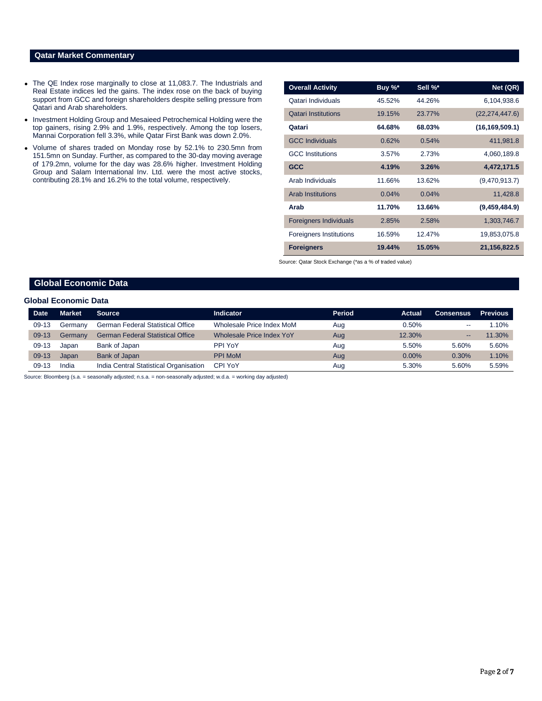### **Qatar Market Commentary**

- The QE Index rose marginally to close at 11,083.7. The Industrials and Real Estate indices led the gains. The index rose on the back of buying support from GCC and foreign shareholders despite selling pressure from Qatari and Arab shareholders.
- Investment Holding Group and Mesaieed Petrochemical Holding were the top gainers, rising 2.9% and 1.9%, respectively. Among the top losers, Mannai Corporation fell 3.3%, while Qatar First Bank was down 2.0%.
- Volume of shares traded on Monday rose by 52.1% to 230.5mn from 151.5mn on Sunday. Further, as compared to the 30-day moving average of 179.2mn, volume for the day was 28.6% higher. Investment Holding Group and Salam International Inv. Ltd. were the most active stocks, contributing 28.1% and 16.2% to the total volume, respectively.

| <b>Overall Activity</b>        | Buy %* | Sell %* | Net (QR)         |
|--------------------------------|--------|---------|------------------|
| Qatari Individuals             | 45.52% | 44.26%  | 6,104,938.6      |
| <b>Qatari Institutions</b>     | 19.15% | 23.77%  | (22, 274, 447.6) |
| Qatari                         | 64.68% | 68.03%  | (16, 169, 509.1) |
| <b>GCC Individuals</b>         | 0.62%  | 0.54%   | 411,981.8        |
| <b>GCC</b> Institutions        | 3.57%  | 2.73%   | 4,060,189.8      |
| <b>GCC</b>                     | 4.19%  | 3.26%   | 4,472,171.5      |
| Arab Individuals               | 11.66% | 13.62%  | (9,470,913.7)    |
| <b>Arab Institutions</b>       | 0.04%  | 0.04%   | 11,428.8         |
| Arab                           | 11.70% | 13.66%  | (9,459,484.9)    |
| <b>Foreigners Individuals</b>  | 2.85%  | 2.58%   | 1,303,746.7      |
| <b>Foreigners Institutions</b> | 16.59% | 12.47%  | 19,853,075.8     |
| <b>Foreigners</b>              | 19.44% | 15.05%  | 21, 156, 822.5   |

Source: Qatar Stock Exchange (\*as a % of traded value)

## **Global Economic Data**

### **Global Economic Data**

| <b>Date</b> | <b>Market</b> | <b>Source</b>                            | Indicator                 | <b>Period</b> | Actual | <b>Consensus</b>             | <b>Previous</b> |
|-------------|---------------|------------------------------------------|---------------------------|---------------|--------|------------------------------|-----------------|
| $09-13$     | Germanv       | <b>German Federal Statistical Office</b> | Wholesale Price Index MoM | Aug           | 0.50%  | $- -$                        | 1.10%           |
| $09-13$     | Germany       | <b>German Federal Statistical Office</b> | Wholesale Price Index YoY | Aug           | 12.30% | $\qquad \qquad \blacksquare$ | 11.30%          |
| $09-13$     | Japan         | Bank of Japan                            | PPI YoY                   | Aug           | 5.50%  | 5.60%                        | 5.60%           |
| $09-13$     | Japan         | Bank of Japan                            | <b>PPI MoM</b>            | Aug           | 0.00%  | 0.30%                        | 1.10%           |
| 09-13       | India         | India Central Statistical Organisation   | CPI YoY                   | Aug           | 5.30%  | 5.60%                        | 5.59%           |

Source: Bloomberg (s.a. = seasonally adjusted; n.s.a. = non-seasonally adjusted; w.d.a. = working day adjusted)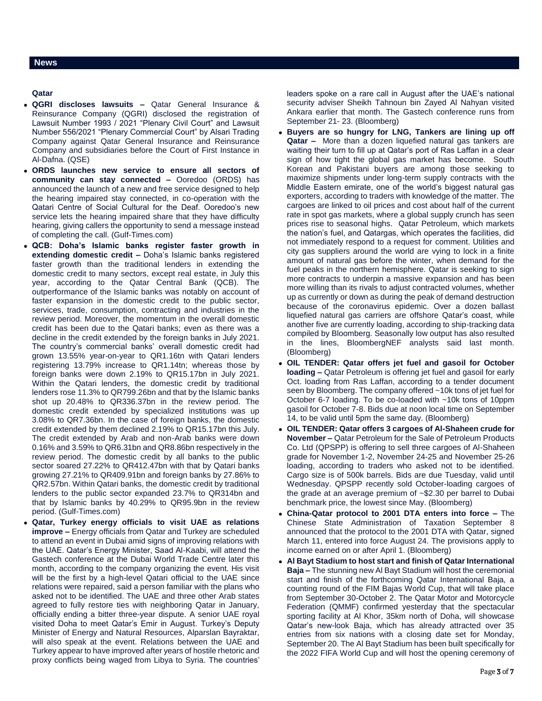### **Qatar**

- **QGRI discloses lawsuits –** Qatar General Insurance & Reinsurance Company (QGRI) disclosed the registration of Lawsuit Number 1993 / 2021 "Plenary Civil Court" and Lawsuit Number 556/2021 "Plenary Commercial Court" by Alsari Trading Company against Qatar General Insurance and Reinsurance Company and subsidiaries before the Court of First Instance in Al-Dafna. (QSE)
- **ORDS launches new service to ensure all sectors of community can stay connected –** Ooredoo (ORDS) has announced the launch of a new and free service designed to help the hearing impaired stay connected, in co-operation with the Qatari Centre of Social Cultural for the Deaf. Ooredoo's new service lets the hearing impaired share that they have difficulty hearing, giving callers the opportunity to send a message instead of completing the call. (Gulf-Times.com)
- **QCB: Doha's Islamic banks register faster growth in extending domestic credit –** Doha's Islamic banks registered faster growth than the traditional lenders in extending the domestic credit to many sectors, except real estate, in July this year, according to the Qatar Central Bank (QCB). The outperformance of the Islamic banks was notably on account of faster expansion in the domestic credit to the public sector, services, trade, consumption, contracting and industries in the review period. Moreover, the momentum in the overall domestic credit has been due to the Qatari banks; even as there was a decline in the credit extended by the foreign banks in July 2021. The country's commercial banks' overall domestic credit had grown 13.55% year-on-year to QR1.16tn with Qatari lenders registering 13.79% increase to QR1.14tn; whereas those by foreign banks were down 2.19% to QR15.17bn in July 2021. Within the Qatari lenders, the domestic credit by traditional lenders rose 11.3% to QR799.26bn and that by the Islamic banks shot up 20.48% to QR336.37bn in the review period. The domestic credit extended by specialized institutions was up 3.08% to QR7.36bn. In the case of foreign banks, the domestic credit extended by them declined 2.19% to QR15.17bn this July. The credit extended by Arab and non-Arab banks were down 0.16% and 3.59% to QR6.31bn and QR8.86bn respectively in the review period. The domestic credit by all banks to the public sector soared 27.22% to QR412.47bn with that by Qatari banks growing 27.21% to QR409.91bn and foreign banks by 27.86% to QR2.57bn. Within Qatari banks, the domestic credit by traditional lenders to the public sector expanded 23.7% to QR314bn and that by Islamic banks by 40.29% to QR95.9bn in the review period. (Gulf-Times.com)
- **Qatar, Turkey energy officials to visit UAE as relations improve –** Energy officials from Qatar and Turkey are scheduled to attend an event in Dubai amid signs of improving relations with the UAE. Qatar's Energy Minister, Saad Al-Kaabi, will attend the Gastech conference at the Dubai World Trade Centre later this month, according to the company organizing the event. His visit will be the first by a high-level Qatari official to the UAE since relations were repaired, said a person familiar with the plans who asked not to be identified. The UAE and three other Arab states agreed to fully restore ties with neighboring Qatar in January, officially ending a bitter three-year dispute. A senior UAE royal visited Doha to meet Qatar's Emir in August. Turkey's Deputy Minister of Energy and Natural Resources, Alparslan Bayraktar, will also speak at the event. Relations between the UAE and Turkey appear to have improved after years of hostile rhetoric and proxy conflicts being waged from Libya to Syria. The countries'

leaders spoke on a rare call in August after the UAE's national security adviser Sheikh Tahnoun bin Zayed Al Nahyan visited Ankara earlier that month. The Gastech conference runs from September 21- 23. (Bloomberg)

- **Buyers are so hungry for LNG, Tankers are lining up off Qatar –** More than a dozen liquefied natural gas tankers are waiting their turn to fill up at Qatar's port of Ras Laffan in a clear sign of how tight the global gas market has become. South Korean and Pakistani buyers are among those seeking to maximize shipments under long-term supply contracts with the Middle Eastern emirate, one of the world's biggest natural gas exporters, according to traders with knowledge of the matter. The cargoes are linked to oil prices and cost about half of the current rate in spot gas markets, where a global supply crunch has seen prices rise to seasonal highs. Qatar Petroleum, which markets the nation's fuel, and Qatargas, which operates the facilities, did not immediately respond to a request for comment. Utilities and city gas suppliers around the world are vying to lock in a finite amount of natural gas before the winter, when demand for the fuel peaks in the northern hemisphere. Qatar is seeking to sign more contracts to underpin a massive expansion and has been more willing than its rivals to adjust contracted volumes, whether up as currently or down as during the peak of demand destruction because of the coronavirus epidemic. Over a dozen ballast liquefied natural gas carriers are offshore Qatar's coast, while another five are currently loading, according to ship-tracking data compiled by Bloomberg. Seasonally low output has also resulted in the lines, BloombergNEF analysts said last month. (Bloomberg)
- **OIL TENDER: Qatar offers jet fuel and gasoil for October loading –** Qatar Petroleum is offering jet fuel and gasoil for early Oct. loading from Ras Laffan, according to a tender document seen by Bloomberg. The company offered ~10k tons of jet fuel for October 6-7 loading. To be co-loaded with ~10k tons of 10ppm gasoil for October 7-8. Bids due at noon local time on September 14, to be valid until 5pm the same day. (Bloomberg)
- **OIL TENDER: Qatar offers 3 cargoes of Al-Shaheen crude for November –** Qatar Petroleum for the Sale of Petroleum Products Co. Ltd (QPSPP) is offering to sell three cargoes of Al-Shaheen grade for November 1-2, November 24-25 and November 25-26 loading, according to traders who asked not to be identified. Cargo size is of 500k barrels. Bids are due Tuesday, valid until Wednesday. QPSPP recently sold October-loading cargoes of the grade at an average premium of ~\$2.30 per barrel to Dubai benchmark price, the lowest since May. (Bloomberg)
- **China-Qatar protocol to 2001 DTA enters into force –** The Chinese State Administration of Taxation September 8 announced that the protocol to the 2001 DTA with Qatar, signed March 11, entered into force August 24. The provisions apply to income earned on or after April 1. (Bloomberg)
- **Al Bayt Stadium to host start and finish of Qatar International Baja –** The stunning new Al Bayt Stadium will host the ceremonial start and finish of the forthcoming Qatar International Baja, a counting round of the FIM Bajas World Cup, that will take place from September 30-October 2. The Qatar Motor and Motorcycle Federation (QMMF) confirmed yesterday that the spectacular sporting facility at Al Khor, 35km north of Doha, will showcase Qatar's new-look Baja, which has already attracted over 35 entries from six nations with a closing date set for Monday, September 20. The Al Bayt Stadium has been built specifically for the 2022 FIFA World Cup and will host the opening ceremony of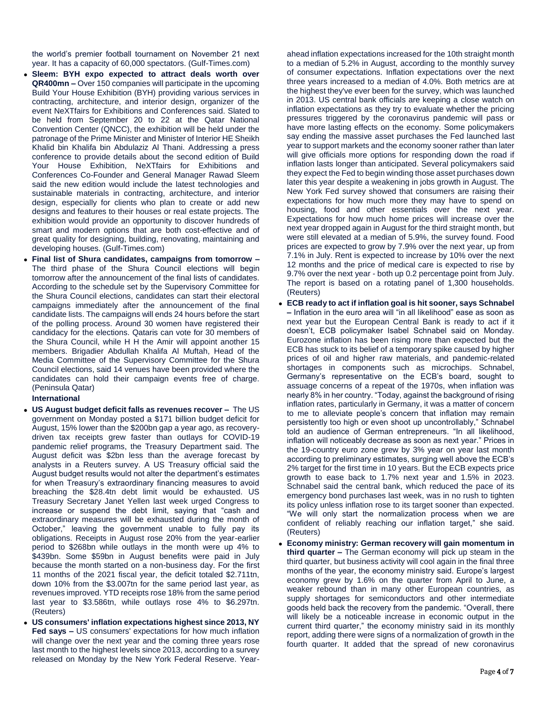the world's premier football tournament on November 21 next year. It has a capacity of 60,000 spectators. (Gulf-Times.com)

- **Sleem: BYH expo expected to attract deals worth over QR400mn –** Over 150 companies will participate in the upcoming Build Your House Exhibition (BYH) providing various services in contracting, architecture, and interior design, organizer of the event NeXTfairs for Exhibitions and Conferences said. Slated to be held from September 20 to 22 at the Qatar National Convention Center (QNCC), the exhibition will be held under the patronage of the Prime Minister and Minister of Interior HE Sheikh Khalid bin Khalifa bin Abdulaziz Al Thani. Addressing a press conference to provide details about the second edition of Build Your House Exhibition, NeXTfairs for Exhibitions and Conferences Co-Founder and General Manager Rawad Sleem said the new edition would include the latest technologies and sustainable materials in contracting, architecture, and interior design, especially for clients who plan to create or add new designs and features to their houses or real estate projects. The exhibition would provide an opportunity to discover hundreds of smart and modern options that are both cost-effective and of great quality for designing, building, renovating, maintaining and developing houses. (Gulf-Times.com)
- **Final list of Shura candidates, campaigns from tomorrow –** The third phase of the Shura Council elections will begin tomorrow after the announcement of the final lists of candidates. According to the schedule set by the Supervisory Committee for the Shura Council elections, candidates can start their electoral campaigns immediately after the announcement of the final candidate lists. The campaigns will ends 24 hours before the start of the polling process. Around 30 women have registered their candidacy for the elections. Qataris can vote for 30 members of the Shura Council, while H H the Amir will appoint another 15 members. Brigadier Abdullah Khalifa Al Muftah, Head of the Media Committee of the Supervisory Committee for the Shura Council elections, said 14 venues have been provided where the candidates can hold their campaign events free of charge. (Peninsula Qatar)

**International**

- **US August budget deficit falls as revenues recover –** The US government on Monday posted a \$171 billion budget deficit for August, 15% lower than the \$200bn gap a year ago, as recoverydriven tax receipts grew faster than outlays for COVID-19 pandemic relief programs, the Treasury Department said. The August deficit was \$2bn less than the average forecast by analysts in a Reuters survey. A US Treasury official said the August budget results would not alter the department's estimates for when Treasury's extraordinary financing measures to avoid breaching the \$28.4tn debt limit would be exhausted. US Treasury Secretary Janet Yellen last week urged Congress to increase or suspend the debt limit, saying that "cash and extraordinary measures will be exhausted during the month of October," leaving the government unable to fully pay its obligations. Receipts in August rose 20% from the year-earlier period to \$268bn while outlays in the month were up 4% to \$439bn. Some \$59bn in August benefits were paid in July because the month started on a non-business day. For the first 11 months of the 2021 fiscal year, the deficit totaled \$2.711tn, down 10% from the \$3.007tn for the same period last year, as revenues improved. YTD receipts rose 18% from the same period last year to \$3.586tn, while outlays rose 4% to \$6.297tn. (Reuters)
- **US consumers' inflation expectations highest since 2013, NY Fed says –** US consumers' expectations for how much inflation will change over the next year and the coming three years rose last month to the highest levels since 2013, according to a survey released on Monday by the New York Federal Reserve. Year-

ahead inflation expectations increased for the 10th straight month to a median of 5.2% in August, according to the monthly survey of consumer expectations. Inflation expectations over the next three years increased to a median of 4.0%. Both metrics are at the highest they've ever been for the survey, which was launched in 2013. US central bank officials are keeping a close watch on inflation expectations as they try to evaluate whether the pricing pressures triggered by the coronavirus pandemic will pass or have more lasting effects on the economy. Some policymakers say ending the massive asset purchases the Fed launched last year to support markets and the economy sooner rather than later will give officials more options for responding down the road if inflation lasts longer than anticipated. Several policymakers said they expect the Fed to begin winding those asset purchases down later this year despite a weakening in jobs growth in August. The New York Fed survey showed that consumers are raising their expectations for how much more they may have to spend on housing, food and other essentials over the next year. Expectations for how much home prices will increase over the next year dropped again in August for the third straight month, but were still elevated at a median of 5.9%, the survey found. Food prices are expected to grow by 7.9% over the next year, up from 7.1% in July. Rent is expected to increase by 10% over the next 12 months and the price of medical care is expected to rise by 9.7% over the next year - both up 0.2 percentage point from July. The report is based on a rotating panel of 1,300 households. (Reuters)

- **ECB ready to act if inflation goal is hit sooner, says Schnabel –** Inflation in the euro area will "in all likelihood" ease as soon as next year but the European Central Bank is ready to act if it doesn't, ECB policymaker Isabel Schnabel said on Monday. Eurozone inflation has been rising more than expected but the ECB has stuck to its belief of a temporary spike caused by higher prices of oil and higher raw materials, and pandemic-related shortages in components such as microchips. Schnabel, Germany's representative on the ECB's board, sought to assuage concerns of a repeat of the 1970s, when inflation was nearly 8% in her country. "Today, against the background of rising inflation rates, particularly in Germany, it was a matter of concern to me to alleviate people's concern that inflation may remain persistently too high or even shoot up uncontrollably," Schnabel told an audience of German entrepreneurs. "In all likelihood, inflation will noticeably decrease as soon as next year." Prices in the 19-country euro zone grew by 3% year on year last month according to preliminary estimates, surging well above the ECB's 2% target for the first time in 10 years. But the ECB expects price growth to ease back to 1.7% next year and 1.5% in 2023. Schnabel said the central bank, which reduced the pace of its emergency bond purchases last week, was in no rush to tighten its policy unless inflation rose to its target sooner than expected. "We will only start the normalization process when we are confident of reliably reaching our inflation target," she said. (Reuters)
- **Economy ministry: German recovery will gain momentum in third quarter –** The German economy will pick up steam in the third quarter, but business activity will cool again in the final three months of the year, the economy ministry said. Europe's largest economy grew by 1.6% on the quarter from April to June, a weaker rebound than in many other European countries, as supply shortages for semiconductors and other intermediate goods held back the recovery from the pandemic. "Overall, there will likely be a noticeable increase in economic output in the current third quarter," the economy ministry said in its monthly report, adding there were signs of a normalization of growth in the fourth quarter. It added that the spread of new coronavirus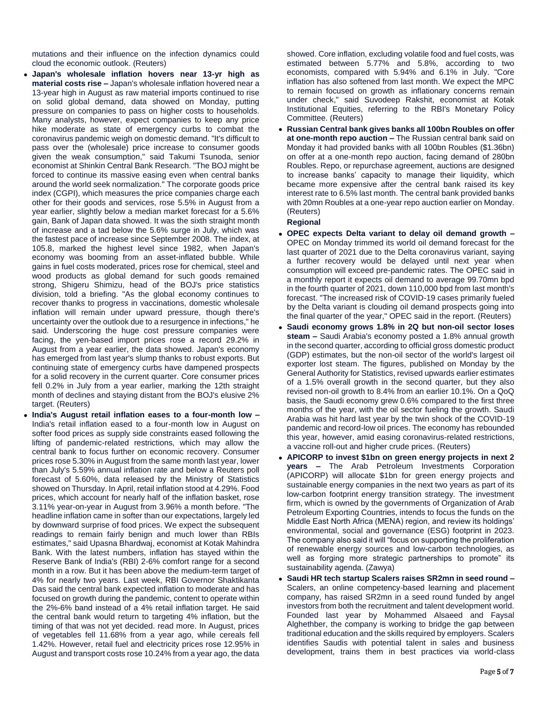mutations and their influence on the infection dynamics could cloud the economic outlook. (Reuters)

- **Japan's wholesale inflation hovers near 13-yr high as material costs rise –** Japan's wholesale inflation hovered near a 13-year high in August as raw material imports continued to rise on solid global demand, data showed on Monday, putting pressure on companies to pass on higher costs to households. Many analysts, however, expect companies to keep any price hike moderate as state of emergency curbs to combat the coronavirus pandemic weigh on domestic demand. "It's difficult to pass over the (wholesale) price increase to consumer goods given the weak consumption," said Takumi Tsunoda, senior economist at Shinkin Central Bank Research. "The BOJ might be forced to continue its massive easing even when central banks around the world seek normalization." The corporate goods price index (CGPI), which measures the price companies charge each other for their goods and services, rose 5.5% in August from a year earlier, slightly below a median market forecast for a 5.6% gain, Bank of Japan data showed. It was the sixth straight month of increase and a tad below the 5.6% surge in July, which was the fastest pace of increase since September 2008. The index, at 105.8, marked the highest level since 1982, when Japan's economy was booming from an asset-inflated bubble. While gains in fuel costs moderated, prices rose for chemical, steel and wood products as global demand for such goods remained strong, Shigeru Shimizu, head of the BOJ's price statistics division, told a briefing. "As the global economy continues to recover thanks to progress in vaccinations, domestic wholesale inflation will remain under upward pressure, though there's uncertainty over the outlook due to a resurgence in infections," he said. Underscoring the huge cost pressure companies were facing, the yen-based import prices rose a record 29.2% in August from a year earlier, the data showed. Japan's economy has emerged from last year's slump thanks to robust exports. But continuing state of emergency curbs have dampened prospects for a solid recovery in the current quarter. Core consumer prices fell 0.2% in July from a year earlier, marking the 12th straight month of declines and staying distant from the BOJ's elusive 2% target. (Reuters)
- **India's August retail inflation eases to a four-month low –** India's retail inflation eased to a four-month low in August on softer food prices as supply side constraints eased following the lifting of pandemic-related restrictions, which may allow the central bank to focus further on economic recovery. Consumer prices rose 5.30% in August from the same month last year, lower than July's 5.59% annual inflation rate and below a Reuters poll forecast of 5.60%, data released by the Ministry of Statistics showed on Thursday. In April, retail inflation stood at 4.29%. Food prices, which account for nearly half of the inflation basket, rose 3.11% year-on-year in August from 3.96% a month before. "The headline inflation came in softer than our expectations, largely led by downward surprise of food prices. We expect the subsequent readings to remain fairly benign and much lower than RBIs estimates," said Upasna Bhardwaj, economist at Kotak Mahindra Bank. With the latest numbers, inflation has stayed within the Reserve Bank of India's (RBI) 2-6% comfort range for a second month in a row. But it has been above the medium-term target of 4% for nearly two years. Last week, RBI Governor Shaktikanta Das said the central bank expected inflation to moderate and has focused on growth during the pandemic, content to operate within the 2%-6% band instead of a 4% retail inflation target. He said the central bank would return to targeting 4% inflation, but the timing of that was not yet decided. read more. In August, prices of vegetables fell 11.68% from a year ago, while cereals fell 1.42%. However, retail fuel and electricity prices rose 12.95% in August and transport costs rose 10.24% from a year ago, the data

showed. Core inflation, excluding volatile food and fuel costs, was estimated between 5.77% and 5.8%, according to two economists, compared with 5.94% and 6.1% in July. "Core inflation has also softened from last month. We expect the MPC to remain focused on growth as inflationary concerns remain under check," said Suvodeep Rakshit, economist at Kotak Institutional Equities, referring to the RBI's Monetary Policy Committee. (Reuters)

 **Russian Central bank gives banks all 100bn Roubles on offer at one-month repo auction –** The Russian central bank said on Monday it had provided banks with all 100bn Roubles (\$1.36bn) on offer at a one-month repo auction, facing demand of 280bn Roubles. Repo, or repurchase agreement, auctions are designed to increase banks' capacity to manage their liquidity, which became more expensive after the central bank raised its key interest rate to 6.5% last month. The central bank provided banks with 20mn Roubles at a one-year repo auction earlier on Monday. (Reuters)

### **Regional**

- **OPEC expects Delta variant to delay oil demand growth –** OPEC on Monday trimmed its world oil demand forecast for the last quarter of 2021 due to the Delta coronavirus variant, saying a further recovery would be delayed until next year when consumption will exceed pre-pandemic rates. The OPEC said in a monthly report it expects oil demand to average 99.70mn bpd in the fourth quarter of 2021, down 110,000 bpd from last month's forecast. "The increased risk of COVID-19 cases primarily fueled by the Delta variant is clouding oil demand prospects going into the final quarter of the year," OPEC said in the report. (Reuters)
- **Saudi economy grows 1.8% in 2Q but non-oil sector loses steam –** Saudi Arabia's economy posted a 1.8% annual growth in the second quarter, according to official gross domestic product (GDP) estimates, but the non-oil sector of the world's largest oil exporter lost steam. The figures, published on Monday by the General Authority for Statistics, revised upwards earlier estimates of a 1.5% overall growth in the second quarter, but they also revised non-oil growth to 8.4% from an earlier 10.1%. On a QoQ basis, the Saudi economy grew 0.6% compared to the first three months of the year, with the oil sector fueling the growth. Saudi Arabia was hit hard last year by the twin shock of the COVID-19 pandemic and record-low oil prices. The economy has rebounded this year, however, amid easing coronavirus-related restrictions, a vaccine roll-out and higher crude prices. (Reuters)
- **APICORP to invest \$1bn on green energy projects in next 2 years –** The Arab Petroleum Investments Corporation (APICORP) will allocate \$1bn for green energy projects and sustainable energy companies in the next two years as part of its low-carbon footprint energy transition strategy. The investment firm, which is owned by the governments of Organization of Arab Petroleum Exporting Countries, intends to focus the funds on the Middle East North Africa (MENA) region, and review its holdings' environmental, social and governance (ESG) footprint in 2023. The company also said it will "focus on supporting the proliferation of renewable energy sources and low-carbon technologies, as well as forging more strategic partnerships to promote" its sustainability agenda. (Zawya)
- **Saudi HR tech startup Scalers raises SR2mn in seed round –** Scalers, an online competency-based learning and placement company, has raised SR2mn in a seed round funded by angel investors from both the recruitment and talent development world. Founded last year by Mohammed Alsaeed and Faysal Alghethber, the company is working to bridge the gap between traditional education and the skills required by employers. Scalers identifies Saudis with potential talent in sales and business development, trains them in best practices via world-class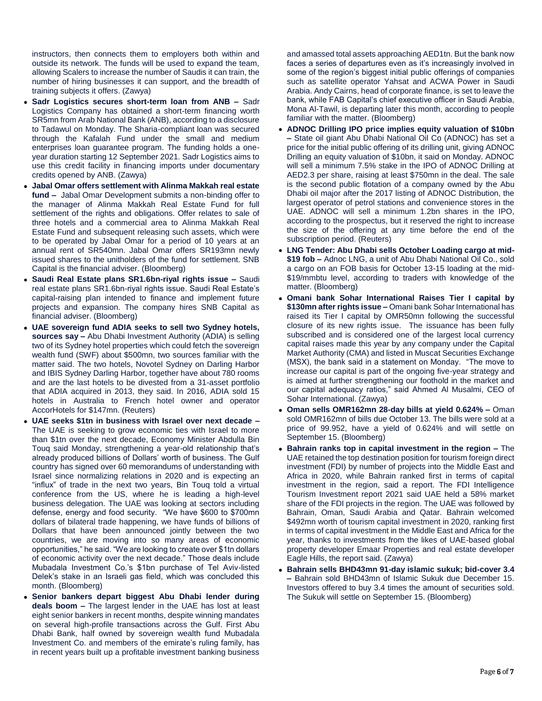instructors, then connects them to employers both within and outside its network. The funds will be used to expand the team, allowing Scalers to increase the number of Saudis it can train, the number of hiring businesses it can support, and the breadth of training subjects it offers. (Zawya)

- **Sadr Logistics secures short-term loan from ANB –** Sadr Logistics Company has obtained a short-term financing worth SR5mn from Arab National Bank (ANB), according to a disclosure to Tadawul on Monday. The Sharia-compliant loan was secured through the Kafalah Fund under the small and medium enterprises loan guarantee program. The funding holds a oneyear duration starting 12 September 2021. Sadr Logistics aims to use this credit facility in financing imports under documentary credits opened by ANB. (Zawya)
- **Jabal Omar offers settlement with Alinma Makkah real estate fund –** Jabal Omar Development submits a non-binding offer to the manager of Alinma Makkah Real Estate Fund for full settlement of the rights and obligations. Offer relates to sale of three hotels and a commercial area to Alinma Makkah Real Estate Fund and subsequent releasing such assets, which were to be operated by Jabal Omar for a period of 10 years at an annual rent of SR540mn. Jabal Omar offers SR193mn newly issued shares to the unitholders of the fund for settlement. SNB Capital is the financial adviser. (Bloomberg)
- **Saudi Real Estate plans SR1.6bn-riyal rights issue –** Saudi real estate plans SR1.6bn-riyal rights issue. Saudi Real Estate's capital-raising plan intended to finance and implement future projects and expansion. The company hires SNB Capital as financial adviser. (Bloomberg)
- **UAE sovereign fund ADIA seeks to sell two Sydney hotels, sources say –** Abu Dhabi Investment Authority (ADIA) is selling two of its Sydney hotel properties which could fetch the sovereign wealth fund (SWF) about \$500mn, two sources familiar with the matter said. The two hotels, Novotel Sydney on Darling Harbor and IBIS Sydney Darling Harbor, together have about 780 rooms and are the last hotels to be divested from a 31-asset portfolio that ADIA acquired in 2013, they said. In 2016, ADIA sold 15 hotels in Australia to French hotel owner and operator AccorHotels for \$147mn. (Reuters)
- **UAE seeks \$1tn in business with Israel over next decade –** The UAE is seeking to grow economic ties with Israel to more than \$1tn over the next decade, Economy Minister Abdulla Bin Touq said Monday, strengthening a year-old relationship that's already produced billions of Dollars' worth of business. The Gulf country has signed over 60 memorandums of understanding with Israel since normalizing relations in 2020 and is expecting an "influx" of trade in the next two years, Bin Touq told a virtual conference from the US, where he is leading a high-level business delegation. The UAE was looking at sectors including defense, energy and food security. "We have \$600 to \$700mn dollars of bilateral trade happening, we have funds of billions of Dollars that have been announced jointly between the two countries, we are moving into so many areas of economic opportunities," he said. "We are looking to create over \$1tn dollars of economic activity over the next decade." Those deals include Mubadala Investment Co.'s \$1bn purchase of Tel Aviv-listed Delek's stake in an Israeli gas field, which was concluded this month. (Bloomberg)
- **Senior bankers depart biggest Abu Dhabi lender during deals boom –** The largest lender in the UAE has lost at least eight senior bankers in recent months, despite winning mandates on several high-profile transactions across the Gulf. First Abu Dhabi Bank, half owned by sovereign wealth fund Mubadala Investment Co. and members of the emirate's ruling family, has in recent years built up a profitable investment banking business

and amassed total assets approaching AED1tn. But the bank now faces a series of departures even as it's increasingly involved in some of the region's biggest initial public offerings of companies such as satellite operator Yahsat and ACWA Power in Saudi Arabia. Andy Cairns, head of corporate finance, is set to leave the bank, while FAB Capital's chief executive officer in Saudi Arabia, Mona Al-Tawil, is departing later this month, according to people familiar with the matter. (Bloomberg)

- **ADNOC Drilling IPO price implies equity valuation of \$10bn –** State oil giant Abu Dhabi National Oil Co (ADNOC) has set a price for the initial public offering of its drilling unit, giving ADNOC Drilling an equity valuation of \$10bn, it said on Monday. ADNOC will sell a minimum 7.5% stake in the IPO of ADNOC Drilling at AED2.3 per share, raising at least \$750mn in the deal. The sale is the second public flotation of a company owned by the Abu Dhabi oil major after the 2017 listing of ADNOC Distribution, the largest operator of petrol stations and convenience stores in the UAE. ADNOC will sell a minimum 1.2bn shares in the IPO, according to the prospectus, but it reserved the right to increase the size of the offering at any time before the end of the subscription period. (Reuters)
- **LNG Tender: Abu Dhabi sells October Loading cargo at mid- \$19 fob –** Adnoc LNG, a unit of Abu Dhabi National Oil Co., sold a cargo on an FOB basis for October 13-15 loading at the mid- \$19/mmbtu level, according to traders with knowledge of the matter. (Bloomberg)
- **Omani bank Sohar International Raises Tier I capital by \$130mn after rights issue –** Omani bank Sohar International has raised its Tier I capital by OMR50mn following the successful closure of its new rights issue. The issuance has been fully subscribed and is considered one of the largest local currency capital raises made this year by any company under the Capital Market Authority (CMA) and listed in Muscat Securities Exchange (MSX), the bank said in a statement on Monday. "The move to increase our capital is part of the ongoing five-year strategy and is aimed at further strengthening our foothold in the market and our capital adequacy ratios," said Ahmed Al Musalmi, CEO of Sohar International. (Zawya)
- **Oman sells OMR162mn 28-day bills at yield 0.624% –** Oman sold OMR162mn of bills due October 13. The bills were sold at a price of 99.952, have a yield of 0.624% and will settle on September 15. (Bloomberg)
- **Bahrain ranks top in capital investment in the region –** The UAE retained the top destination position for tourism foreign direct investment (FDI) by number of projects into the Middle East and Africa in 2020, while Bahrain ranked first in terms of capital investment in the region, said a report. The FDI Intelligence Tourism Investment report 2021 said UAE held a 58% market share of the FDI projects in the region. The UAE was followed by Bahrain, Oman, Saudi Arabia and Qatar. Bahrain welcomed \$492mn worth of tourism capital investment in 2020, ranking first in terms of capital investment in the Middle East and Africa for the year, thanks to investments from the likes of UAE-based global property developer Emaar Properties and real estate developer Eagle Hills, the report said. (Zawya)
- **Bahrain sells BHD43mn 91-day islamic sukuk; bid-cover 3.4 –** Bahrain sold BHD43mn of Islamic Sukuk due December 15. Investors offered to buy 3.4 times the amount of securities sold. The Sukuk will settle on September 15. (Bloomberg)